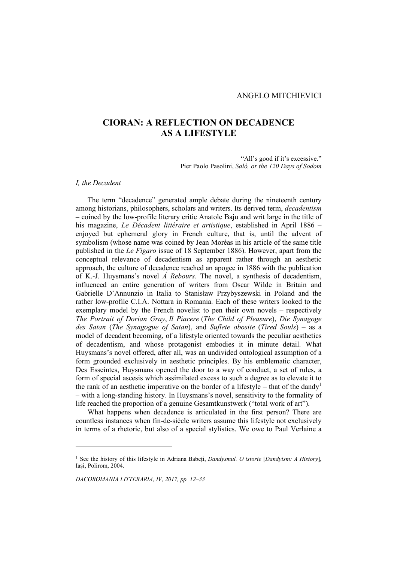# **CIORAN: A REFLECTION ON DECADENCE AS A LIFESTYLE**

"All's good if it's excessive." Pier Paolo Pasolini, *Salò, or the 120 Days of Sodom*

### *I, the Decadent*

The term "decadence" generated ample debate during the nineteenth century among historians, philosophers, scholars and writers. Its derived term, *decadentism* – coined by the low-profile literary critic Anatole Baju and writ large in the title of his magazine, *Le Décadent littéraire et artistique*, established in April 1886 – enjoyed but ephemeral glory in French culture, that is, until the advent of symbolism (whose name was coined by Jean Moréas in his article of the same title published in the *Le Figaro* issue of 18 September 1886). However, apart from the conceptual relevance of decadentism as apparent rather through an aesthetic approach, the culture of decadence reached an apogee in 1886 with the publication of K.-J. Huysmans's novel *Á Rebours*. The novel, a synthesis of decadentism, influenced an entire generation of writers from Oscar Wilde in Britain and Gabrielle D'Annunzio in Italia to Stanisław Przybyszewski in Poland and the rather low-profile C.I.A. Nottara in Romania. Each of these writers looked to the exemplary model by the French novelist to pen their own novels – respectively *The Portrait of Dorian Gray*, *Il Piacere* (*The Child of Pleasure*), *Die Synagoge des Satan* (*The Synagogue of Satan*), and *Suflete obosite* (*Tired Souls*) – as a model of decadent becoming, of a lifestyle oriented towards the peculiar aesthetics of decadentism, and whose protagonist embodies it in minute detail. What Huysmans's novel offered, after all, was an undivided ontological assumption of a form grounded exclusively in aesthetic principles. By his emblematic character, Des Esseintes, Huysmans opened the door to a way of conduct, a set of rules, a form of special ascesis which assimilated excess to such a degree as to elevate it to the rank of an aesthetic imperative on the border of a lifestyle – that of the dandy<sup>1</sup> – with a long-standing history. In Huysmans's novel, sensitivity to the formality of life reached the proportion of a genuine Gesamtkunstwerk ("total work of art").

What happens when decadence is articulated in the first person? There are countless instances when fin-de-siècle writers assume this lifestyle not exclusively in terms of a rhetoric, but also of a special stylistics. We owe to Paul Verlaine a

<sup>1</sup> See the history of this lifestyle in Adriana Babeți, *Dandysmul. O istorie* [*Dandyism: A History*], Iași, Polirom, 2004.

*DACOROMANIA LITTERARIA, IV, 2017, pp. 12–33*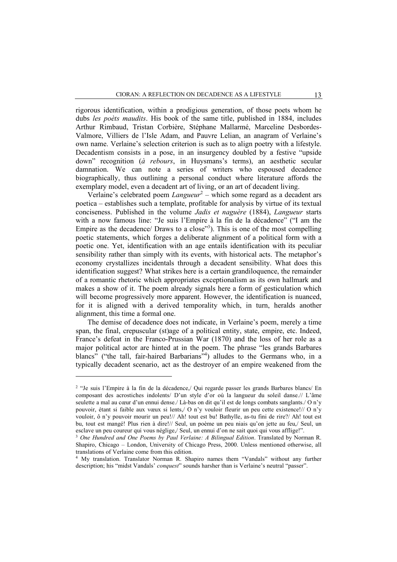rigorous identification, within a prodigious generation, of those poets whom he dubs *les poèts maudits*. His book of the same title, published in 1884, includes Arthur Rimbaud, Tristan Corbière, Stéphane Mallarmé, Marceline Desbordes-Valmore, Villiers de l'Isle Adam, and Pauvre Lelian, an anagram of Verlaine's own name. Verlaine's selection criterion is such as to align poetry with a lifestyle. Decadentism consists in a pose, in an insurgency doubled by a festive "upside down" recognition (*à rebours*, in Huysmans's terms), an aesthetic secular damnation. We can note a series of writers who espoused decadence biographically, thus outlining a personal conduct where literature affords the exemplary model, even a decadent art of living, or an art of decadent living.

Verlaine's celebrated poem *Langueur*<sup>2</sup> – which some regard as a decadent ars poetica – establishes such a template, profitable for analysis by virtue of its textual conciseness. Published in the volume *Jadis et naguère* (1884), *Langueur* starts with a now famous line: "Je suis l'Empire à la fin de la décadence" ("I am the Empire as the decadence/ Draws to a close"<sup>3</sup>). This is one of the most compelling poetic statements, which forges a deliberate alignment of a political form with a poetic one. Yet, identification with an age entails identification with its peculiar sensibility rather than simply with its events, with historical acts. The metaphor's economy crystallizes incidentals through a decadent sensibility. What does this identification suggest? What strikes here is a certain grandiloquence, the remainder of a romantic rhetoric which appropriates exceptionalism as its own hallmark and makes a show of it. The poem already signals here a form of gesticulation which will become progressively more apparent. However, the identification is nuanced, for it is aligned with a derived temporality which, in turn, heralds another alignment, this time a formal one.

The demise of decadence does not indicate, in Verlaine's poem, merely a time span, the final, crepuscular (st)age of a political entity, state, empire, etc. Indeed, France's defeat in the Franco-Prussian War (1870) and the loss of her role as a major political actor are hinted at in the poem. The phrase "les grands Barbares blancs" ("the tall, fair-haired Barbarians"<sup>4</sup>) alludes to the Germans who, in a typically decadent scenario, act as the destroyer of an empire weakened from the

<sup>2</sup> "Je suis l'Empire à la fin de la décadence,/ Qui regarde passer les grands Barbares blancs/ En composant des acrostiches indolents/ D'un style d'or où la langueur du soleil danse.// L'âme seulette a mal au cœur d'un ennui dense./ Là-bas on dit qu'il est de longs combats sanglants./ O n'y pouvoir, étant si faible aux vœux si lents,/ O n'y vouloir fleurir un peu cette existence!// O n'y vouloir, ô n'y pouvoir mourir un peu!// Ah! tout est bu! Bathylle, as-tu fini de rire?/ Ah! tout est bu, tout est mangé! Plus rien à dire!// Seul, un poème un peu niais qu'on jette au feu,/ Seul, un esclave un peu coureur qui vous néglige,/ Seul, un ennui d'on ne sait quoi qui vous afflige!".

<sup>3</sup> *One Hundred and One Poems by Paul Verlaine: A Bilingual Edition*. Translated by Norman R. Shapiro, Chicago – London, University of Chicago Press, 2000. Unless mentioned otherwise, all translations of Verlaine come from this edition.

<sup>4</sup> My translation. Translator Norman R. Shapiro names them "Vandals" without any further description; his "midst Vandals' *conquest*" sounds harsher than is Verlaine's neutral "passer".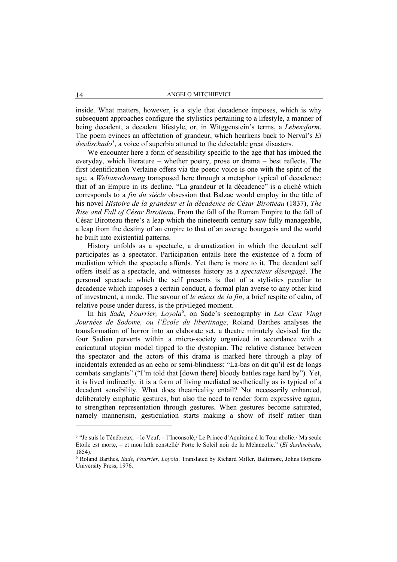inside. What matters, however, is a style that decadence imposes, which is why subsequent approaches configure the stylistics pertaining to a lifestyle, a manner of being decadent, a decadent lifestyle, or, in Witggenstein's terms, a *Lebensform*. The poem evinces an affectation of grandeur, which hearkens back to Nerval's *El*  desdischado<sup>5</sup>, a voice of superbia attuned to the delectable great disasters.

We encounter here a form of sensibility specific to the age that has imbued the everyday, which literature – whether poetry, prose or drama – best reflects. The first identification Verlaine offers via the poetic voice is one with the spirit of the age, a *Weltanschauung* transposed here through a metaphor typical of decadence: that of an Empire in its decline. "La grandeur et la décadence" is a cliché which corresponds to a *fin du siècle* obsession that Balzac would employ in the title of his novel *Histoire de la grandeur et la décadence de César Birotteau* (1837), *The Rise and Fall of César Birotteau*. From the fall of the Roman Empire to the fall of César Birotteau there's a leap which the nineteenth century saw fully manageable, a leap from the destiny of an empire to that of an average bourgeois and the world he built into existential patterns.

History unfolds as a spectacle, a dramatization in which the decadent self participates as a spectator. Participation entails here the existence of a form of mediation which the spectacle affords. Yet there is more to it. The decadent self offers itself as a spectacle, and witnesses history as a *spectateur désengagé*. The personal spectacle which the self presents is that of a stylistics peculiar to decadence which imposes a certain conduct, a formal plan averse to any other kind of investment, a mode. The savour of *le mieux de la fin*, a brief respite of calm, of relative poise under duress, is the privileged moment.

In his Sade, Fourrier, Loyola<sup>6</sup>, on Sade's scenography in Les Cent Vingt *Journées de Sodome, ou l'École du libertinage*, Roland Barthes analyses the transformation of horror into an elaborate set, a theatre minutely devised for the four Sadian perverts within a micro-society organized in accordance with a caricatural utopian model tipped to the dystopian. The relative distance between the spectator and the actors of this drama is marked here through a play of incidentals extended as an echo or semi-blindness: "Là-bas on dit qu'il est de longs combats sanglants" ("I'm told that [down there] bloody battles rage hard by"). Yet, it is lived indirectly, it is a form of living mediated aesthetically as is typical of a decadent sensibility. What does theatricality entail? Not necessarily enhanced, deliberately emphatic gestures, but also the need to render form expressive again, to strengthen representation through gestures. When gestures become saturated, namely mannerism, gesticulation starts making a show of itself rather than

<sup>5</sup> "Je suis le Ténébreux, – le Veuf, – l'Inconsolé,/ Le Prince d'Aquitaine à la Tour abolie:/ Ma seule Etoile est morte, – et mon luth constellé/ Porte le Soleil noir de la Mélancolie." (*El desdischado*, 1854).

<sup>6</sup> Roland Barthes, *Sade, Fourrier, Loyola*. Translated by Richard Miller, Baltimore, Johns Hopkins University Press, 1976.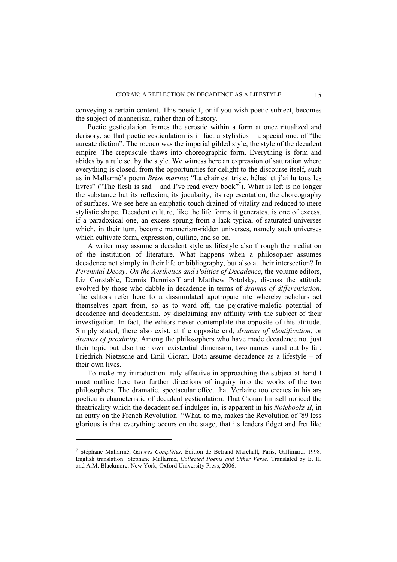conveying a certain content. This poetic I, or if you wish poetic subject, becomes the subject of mannerism, rather than of history.

Poetic gesticulation frames the acrostic within a form at once ritualized and derisory, so that poetic gesticulation is in fact a stylistics – a special one: of "the aureate diction". The rococo was the imperial gilded style, the style of the decadent empire. The crepuscule thaws into choreographic form. Everything is form and abides by a rule set by the style. We witness here an expression of saturation where everything is closed, from the opportunities for delight to the discourse itself, such as in Mallarmé's poem *Brise marine*: "La chair est triste, hélas! et j'ai lu tous les livres" ("The flesh is sad – and I've read every book"<sup>7</sup>). What is left is no longer the substance but its reflexion, its jocularity, its representation, the choreography of surfaces. We see here an emphatic touch drained of vitality and reduced to mere stylistic shape. Decadent culture, like the life forms it generates, is one of excess, if a paradoxical one, an excess sprung from a lack typical of saturated universes which, in their turn, become mannerism-ridden universes, namely such universes which cultivate form, expression, outline, and so on.

A writer may assume a decadent style as lifestyle also through the mediation of the institution of literature. What happens when a philosopher assumes decadence not simply in their life or bibliography, but also at their intersection? In *Perennial Decay: On the Aesthetics and Politics of Decadence*, the volume editors, Liz Constable, Dennis Dennisoff and Matthew Potolsky, discuss the attitude evolved by those who dabble in decadence in terms of *dramas of differentiation*. The editors refer here to a dissimulated apotropaic rite whereby scholars set themselves apart from, so as to ward off, the pejorative-malefic potential of decadence and decadentism, by disclaiming any affinity with the subject of their investigation. In fact, the editors never contemplate the opposite of this attitude. Simply stated, there also exist, at the opposite end, *dramas of identification*, or *dramas of proximity*. Among the philosophers who have made decadence not just their topic but also their own existential dimension, two names stand out by far: Friedrich Nietzsche and Emil Cioran. Both assume decadence as a lifestyle – of their own lives.

To make my introduction truly effective in approaching the subject at hand I must outline here two further directions of inquiry into the works of the two philosophers. The dramatic, spectacular effect that Verlaine too creates in his ars poetica is characteristic of decadent gesticulation. That Cioran himself noticed the theatricality which the decadent self indulges in, is apparent in his *Notebooks II*, in an entry on the French Revolution: "What, to me, makes the Revolution of '89 less glorious is that everything occurs on the stage, that its leaders fidget and fret like

<sup>7</sup> Stéphane Mallarmé, *Œuvres Complètes*. Édition de Betrand Marchall, Paris, Gallimard, 1998. English translation: Stéphane Mallarmé, *Collected Poems and Other Verse*. Translated by E. H. and A.M. Blackmore, New York, Oxford University Press, 2006.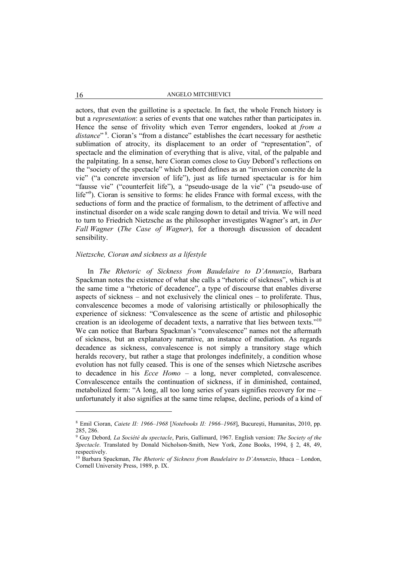actors, that even the guillotine is a spectacle. In fact, the whole French history is but a *representation*: a series of events that one watches rather than participates in. Hence the sense of frivolity which even Terror engenders, looked at *from a*  distance"<sup>8</sup>. Cioran's "from a distance" establishes the écart necessary for aesthetic sublimation of atrocity, its displacement to an order of "representation", of spectacle and the elimination of everything that is alive, vital, of the palpable and the palpitating. In a sense, here Cioran comes close to Guy Debord's reflections on the "society of the spectacle" which Debord defines as an "inversion concrète de la vie" ("a concrete inversion of life"), just as life turned spectacular is for him "fausse vie" ("counterfeit life"), a "pseudo-usage de la vie" ("a pseudo-use of life"9 ). Cioran is sensitive to forms: he elides France with formal excess, with the seductions of form and the practice of formalism, to the detriment of affective and instinctual disorder on a wide scale ranging down to detail and trivia. We will need to turn to Friedrich Nietzsche as the philosopher investigates Wagner's art, in *Der Fall Wagner* (*The Case of Wagner*), for a thorough discussion of decadent sensibility.

#### *Nietzsche, Cioran and sickness as a lifestyle*

In *The Rhetoric of Sickness from Baudelaire to D'Annunzio*, Barbara Spackman notes the existence of what she calls a "rhetoric of sickness", which is at the same time a "rhetoric of decadence", a type of discourse that enables diverse aspects of sickness – and not exclusively the clinical ones – to proliferate. Thus, convalescence becomes a mode of valorising artistically or philosophically the experience of sickness: "Convalescence as the scene of artistic and philosophic creation is an ideologeme of decadent texts, a narrative that lies between texts."10 We can notice that Barbara Spackman's "convalescence" names not the aftermath of sickness, but an explanatory narrative, an instance of mediation. As regards decadence as sickness, convalescence is not simply a transitory stage which heralds recovery, but rather a stage that prolonges indefinitely, a condition whose evolution has not fully ceased. This is one of the senses which Nietzsche ascribes to decadence in his *Ecce Homo* – a long, never completed, convalescence. Convalescence entails the continuation of sickness, if in diminished, contained, metabolized form: "A long, all too long series of years signifies recovery for me – unfortunately it also signifies at the same time relapse, decline, periods of a kind of

<sup>8</sup> Emil Cioran, *Caiete II: 1966*–*1968* [*Notebooks II: 1966*–*1968*], București, Humanitas, 2010, pp. 285, 286.

<sup>9</sup> Guy Debord*, La Société du spectacle*, Paris, Gallimard, 1967. English version: *The Society of the Spectacle*. Translated by Donald Nicholson-Smith, New York, Zone Books, 1994, § 2, 48, 49, respectively.

<sup>10</sup> Barbara Spackman, *The Rhetoric of Sickness from Baudelaire to D'Annunzio*, Ithaca – London, Cornell University Press, 1989, p. IX.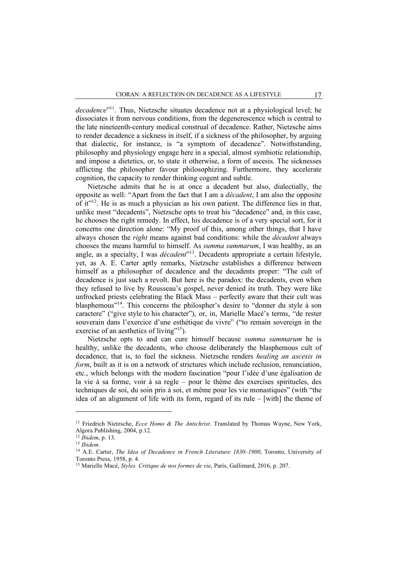*decadence*"11. Thus, Nietzsche situates decadence not at a physiological level; he dissociates it from nervous conditions, from the degenerescence which is central to the late nineteenth-century medical construal of decadence. Rather, Nietzsche aims to render decadence a sickness in itself, if a sickness of the philosopher, by arguing that dialectic, for instance, is "a symptom of decadence". Notwithstanding, philosophy and physiology engage here in a special, almost symbiotic relationship, and impose a dietetics, or, to state it otherwise, a form of ascesis. The sicknesses afflicting the philosopher favour philosophizing. Furthermore, they accelerate cognition, the capacity to render thinking cogent and subtle.

Nietzsche admits that he is at once a decadent but also, dialectially, the opposite as well: "Apart from the fact that I am a *décadent*, I am also the opposite of it" $12$ . He is as much a physician as his own patient. The difference lies in that, unlike most "decadents", Nietzsche opts to treat his "decadence" and, in this case, he chooses the right remedy. In effect, his decadence is of a very special sort, for it concerns one direction alone: "My proof of this, among other things, that I have always chosen the *right* means against bad conditions: while the *décadent* always chooses the means harmful to himself. As *summa summarum*, I was healthy, as an angle, as a specialty, I was *décadent*<sup>213</sup>. Decadents appropriate a certain lifestyle, yet, as A. E. Carter aptly remarks, Nietzsche establishes a difference between himself as a philosopher of decadence and the decadents proper: "The cult of decadence is just such a revolt. But here is the paradox: the decadents, even when they refused to live by Rousseau's gospel, never denied its truth. They were like unfrocked priests celebrating the Black Mass – perfectly aware that their cult was blasphemous<sup>"14</sup>. This concerns the philospher's desire to "donner du style à son caractere" ("give style to his character"), or, in, Marielle Macé's terms, "de rester souverain dans l'exercice d'une esthétique du vivre" ("to remain sovereign in the exercise of an aesthetics of living"<sup>15</sup>).

Nietzsche opts to and can cure himself because *summa summarum* he is healthy, unlike the decadents, who choose deliberately the blasphemous cult of decadence, that is, to fuel the sickness. Nietzsche renders *healing an ascesis in form*, built as it is on a network of strictures which include reclusion, renunciation, etc., which belongs with the modern fascination "pour l'idée d'une égalisation de la vie à sa forme, voir à sa regle – pour le thème des exercises spiritueles, des techniques de soi, du soin pris à soi, et même pour les vie monastiques" (with "the idea of an alignment of life with its form, regard of its rule – [with] the theme of

<sup>11</sup> Friedrich Nietzsche, *Ecce Homo & The Antichrist*. Translated by Thomas Wayne, New York, Algora Publishing, 2004, p.12.

<sup>12</sup> *Ibidem*, p. 13.

<sup>13</sup> *Ibidem*.

<sup>14</sup> A.E. Carter, *The Idea of Decadence in French Literature 1830*–*1900*, Toronto, University of Toronto Press, 1958, p. 4.

<sup>15</sup> Marielle Macé, *Styles. Critique de nos formes de vie*, Paris, Gallimard, 2016, p. 207.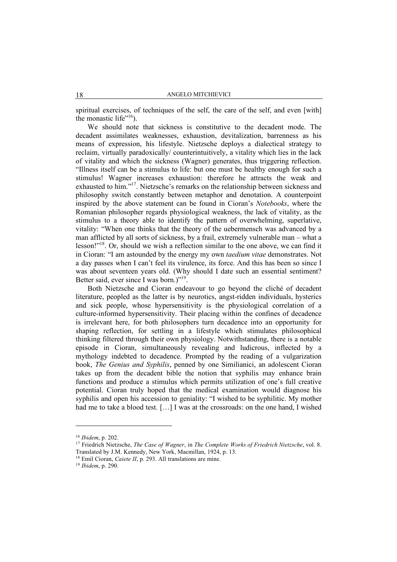spiritual exercises, of techniques of the self, the care of the self, and even [with] the monastic life" $16$ ).

We should note that sickness is constitutive to the decadent mode. The decadent assimilates weaknesses, exhaustion, devitalization, barrenness as his means of expression, his lifestyle. Nietzsche deploys a dialectical strategy to reclaim, virtually paradoxically/ counterintuitively, a vitality which lies in the lack of vitality and which the sickness (Wagner) generates, thus triggering reflection. "Illness itself can be a stimulus to life: but one must be healthy enough for such a stimulus! Wagner increases exhaustion: therefore he attracts the weak and exhausted to him."17. Nietzsche's remarks on the relationship between sickness and philosophy switch constantly between metaphor and denotation. A counterpoint inspired by the above statement can be found in Cioran's *Notebooks*, where the Romanian philosopher regards physiological weakness, the lack of vitality, as the stimulus to a theory able to identify the pattern of overwhelming, superlative, vitality: "When one thinks that the theory of the uebermensch was advanced by a man afflicted by all sorts of sickness, by a frail, extremely vulnerable man – what a lesson!"18. Or, should we wish a reflection similar to the one above, we can find it in Cioran: "I am astounded by the energy my own *taedium vitae* demonstrates. Not a day passes when I can't feel its virulence, its force. And this has been so since I was about seventeen years old. (Why should I date such an essential sentiment? Better said, ever since I was born.)"19.

Both Nietzsche and Cioran endeavour to go beyond the cliché of decadent literature, peopled as the latter is by neurotics, angst-ridden individuals, hysterics and sick people, whose hypersensitivity is the physiological correlation of a culture-informed hypersensitivity. Their placing within the confines of decadence is irrelevant here, for both philosophers turn decadence into an opportunity for shaping reflection, for settling in a lifestyle which stimulates philosophical thinking filtered through their own physiology. Notwithstanding, there is a notable episode in Cioran, simultaneously revealing and ludicrous, inflected by a mythology indebted to decadence. Prompted by the reading of a vulgarization book, *The Genius and Syphilis*, penned by one Similianici, an adolescent Cioran takes up from the decadent bible the notion that syphilis may enhance brain functions and produce a stimulus which permits utilization of one's full creative potential. Cioran truly hoped that the medical examination would diagnose his syphilis and open his accession to geniality: "I wished to be syphilitic. My mother had me to take a blood test. [...] I was at the crossroads: on the one hand, I wished

<sup>16</sup> *Ibidem*, p. 202.

<sup>17</sup> Friedrich Nietzsche, *The Case of Wagner*, in *The Complete Works of Friedrich Nietzsche*, vol. 8. Translated by J.M. Kennedy, New York, Macmillan, 1924, p. 13.

<sup>18</sup> Emil Cioran, *Caiete II*, p. 293. All translations are mine. 19 *Ibidem*, p. 290.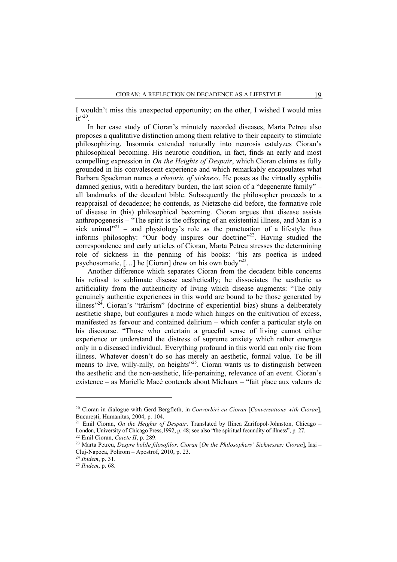I wouldn't miss this unexpected opportunity; on the other, I wished I would miss  $it^{\cdot\cdot 20}$ 

In her case study of Cioran's minutely recorded diseases, Marta Petreu also proposes a qualitative distinction among them relative to their capacity to stimulate philosophizing. Insomnia extended naturally into neurosis catalyzes Cioran's philosophical becoming. His neurotic condition, in fact, finds an early and most compelling expression in *On the Heights of Despair*, which Cioran claims as fully grounded in his convalescent experience and which remarkably encapsulates what Barbara Spackman names *a rhetoric of sickness*. He poses as the virtually syphilis damned genius, with a hereditary burden, the last scion of a "degenerate family" – all landmarks of the decadent bible. Subsequently the philosopher proceeds to a reappraisal of decadence; he contends, as Nietzsche did before, the formative role of disease in (his) philosophical becoming. Cioran argues that disease assists anthropogenesis – "The spirit is the offspring of an existential illness, and Man is a sick animal $1^{221}$  – and physiology's role as the punctuation of a lifestyle thus informs philosophy: "Our body inspires our doctrine"<sup>22</sup>. Having studied the correspondence and early articles of Cioran, Marta Petreu stresses the determining role of sickness in the penning of his books: "his ars poetica is indeed psychosomatic,  $[\dots]$  he  $[Coran]$  drew on his own body<sup>723</sup>.

Another difference which separates Cioran from the decadent bible concerns his refusal to sublimate disease aesthetically; he dissociates the aesthetic as artificiality from the authenticity of living which disease augments: "The only genuinely authentic experiences in this world are bound to be those generated by illness"24. Cioran's "trăirism" (doctrine of experiential bias) shuns a deliberately aesthetic shape, but configures a mode which hinges on the cultivation of excess, manifested as fervour and contained delirium – which confer a particular style on his discourse. "Those who entertain a graceful sense of living cannot either experience or understand the distress of supreme anxiety which rather emerges only in a diseased individual. Everything profound in this world can only rise from illness. Whatever doesn't do so has merely an aesthetic, formal value. To be ill means to live, willy-nilly, on heights"25. Cioran wants us to distinguish between the aesthetic and the non-aesthetic, life-pertaining, relevance of an event. Cioran's existence – as Marielle Macé contends about Michaux – "fait place aux valeurs de

<sup>20</sup> Cioran in dialogue with Gerd Bergfleth, in *Convorbiri cu Cioran* [*Conversations with Cioran*], București, Humanitas, 2004, p. 104.

<sup>21</sup> Emil Cioran, *On the Heights of Despair*. Translated by Ilinca Zarifopol-Johnston, Chicago – London, University of Chicago Press,1992, p. 48; see also "the spiritual fecundity of illness", p. 27.

<sup>22</sup> Emil Cioran, *Caiete II*, p. 289.

<sup>23</sup> Marta Petreu, *Despre bolile filosofilor. Cioran* [*On the Philosophers' Sicknesses: Cioran*], Iași – Cluj-Napoca, Polirom – Apostrof, 2010, p. 23.

<sup>24</sup> *Ibidem*, p. 31.

<sup>25</sup> *Ibidem*, p. 68.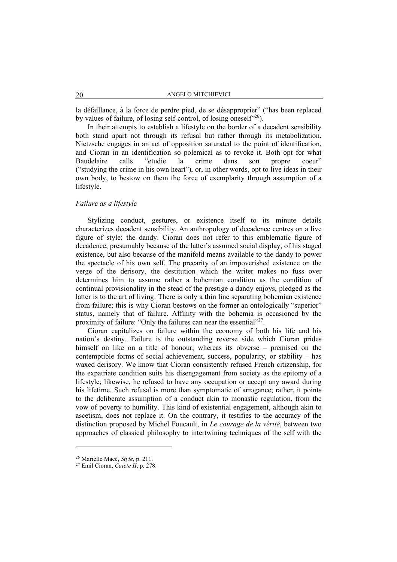la défaillance, à la force de perdre pied, de se désapproprier" ("has been replaced by values of failure, of losing self-control, of losing oneself $26$ .

In their attempts to establish a lifestyle on the border of a decadent sensibility both stand apart not through its refusal but rather through its metabolization. Nietzsche engages in an act of opposition saturated to the point of identification, and Cioran in an identification so polemical as to revoke it. Both opt for what Baudelaire calls "etudie la crime dans son propre coeur" ("studying the crime in his own heart"), or, in other words, opt to live ideas in their own body, to bestow on them the force of exemplarity through assumption of a lifestyle.

## *Failure as a lifestyle*

Stylizing conduct, gestures, or existence itself to its minute details characterizes decadent sensibility. An anthropology of decadence centres on a live figure of style: the dandy. Cioran does not refer to this emblematic figure of decadence, presumably because of the latter's assumed social display, of his staged existence, but also because of the manifold means available to the dandy to power the spectacle of his own self. The precarity of an impoverished existence on the verge of the derisory, the destitution which the writer makes no fuss over determines him to assume rather a bohemian condition as the condition of continual provisionality in the stead of the prestige a dandy enjoys, pledged as the latter is to the art of living. There is only a thin line separating bohemian existence from failure; this is why Cioran bestows on the former an ontologically "superior" status, namely that of failure. Affinity with the bohemia is occasioned by the proximity of failure: "Only the failures can near the essential"<sup>27</sup>.

Cioran capitalizes on failure within the economy of both his life and his nation's destiny. Failure is the outstanding reverse side which Cioran prides himself on like on a title of honour, whereas its obverse – premised on the contemptible forms of social achievement, success, popularity, or stability – has waxed derisory. We know that Cioran consistently refused French citizenship, for the expatriate condition suits his disengagement from society as the epitomy of a lifestyle; likewise, he refused to have any occupation or accept any award during his lifetime. Such refusal is more than symptomatic of arrogance; rather, it points to the deliberate assumption of a conduct akin to monastic regulation, from the vow of poverty to humility. This kind of existential engagement, although akin to ascetism, does not replace it. On the contrary, it testifies to the accuracy of the distinction proposed by Michel Foucault, in *Le courage de la vérité*, between two approaches of classical philosophy to intertwining techniques of the self with the

<sup>26</sup> Marielle Macé, *Style*, p. 211.

<sup>27</sup> Emil Cioran, *Caiete II*, p. 278.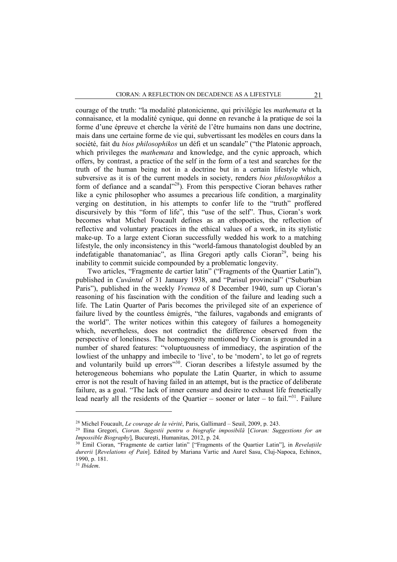courage of the truth: "la modalité platonicienne, qui privilégie les *mathemata* et la connaisance, et la modalité cynique, qui donne en revanche à la pratique de soi la forme d'une épreuve et cherche la vérité de l'être humains non dans une doctrine, mais dans une certaine forme de vie qui, subvertissant les modèles en cours dans la société, fait du *bios philosophikos* un défi et un scandale" ("the Platonic approach, which privileges the *mathemata* and knowledge, and the cynic approach, which offers, by contrast, a practice of the self in the form of a test and searches for the truth of the human being not in a doctrine but in a certain lifestyle which, subversive as it is of the current models in society, renders *bios philosophikos* a form of defiance and a scandal"<sup>28</sup>). From this perspective Cioran behaves rather like a cynic philosopher who assumes a precarious life condition, a marginality verging on destitution, in his attempts to confer life to the "truth" proffered discursively by this "form of life", this "use of the self". Thus, Cioran's work becomes what Michel Foucault defines as an ethopoetics, the reflection of reflective and voluntary practices in the ethical values of a work, in its stylistic make-up. To a large extent Cioran successfully wedded his work to a matching lifestyle, the only inconsistency in this "world-famous thanatologist doubled by an indefatigable thanatomaniac", as Ilina Gregori aptly calls  $Cioran<sup>29</sup>$ , being his inability to commit suicide compounded by a problematic longevity.

Two articles, "Fragmente de cartier latin" ("Fragments of the Quartier Latin"), published in *Cuvântul* of 31 January 1938, and "Parisul provincial" ("Suburbian Paris"), published in the weekly *Vremea* of 8 December 1940, sum up Cioran's reasoning of his fascination with the condition of the failure and leading such a life. The Latin Quarter of Paris becomes the privileged site of an experience of failure lived by the countless émigrés, "the failures, vagabonds and emigrants of the world". The writer notices within this category of failures a homogeneity which, nevertheless, does not contradict the difference observed from the perspective of loneliness. The homogeneity mentioned by Cioran is grounded in a number of shared features: "voluptuousness of immediacy, the aspiration of the lowliest of the unhappy and imbecile to 'live', to be 'modern', to let go of regrets and voluntarily build up errors"30. Cioran describes a lifestyle assumed by the heterogeneous bohemians who populate the Latin Quarter, in which to assume error is not the result of having failed in an attempt, but is the practice of deliberate failure, as a goal. "The lack of inner censure and desire to exhaust life frenetically lead nearly all the residents of the Quartier – sooner or later – to fail."<sup>31</sup>. Failure

<sup>28</sup> Michel Foucault, *Le courage de la vérité*, Paris, Gallimard – Seuil, 2009, p. 243.

<sup>29</sup> Ilina Gregori, *Cioran. Sugestii pentru o biografie imposibilă* [*Cioran: Suggestions for an Impossible Biography*], Bucureşti, Humanitas, 2012, p. 24.

<sup>30</sup> Emil Cioran, "Fragmente de cartier latin" ["Fragments of the Quartier Latin"], in *Revelațiile durerii* [*Revelations of Pain*]. Edited by Mariana Vartic and Aurel Sasu, Cluj-Napoca, Echinox, 1990, p. 181.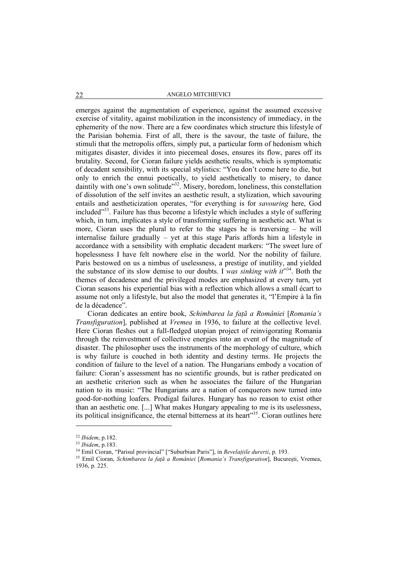### 22 ANGELO MITCHIEVICI

emerges against the augmentation of experience, against the assumed excessive exercise of vitality, against mobilization in the inconsistency of immediacy, in the ephemerity of the now. There are a few coordinates which structure this lifestyle of the Parisian bohemia. First of all, there is the savour, the taste of failure, the stimuli that the metropolis offers, simply put, a particular form of hedonism which mitigates disaster, divides it into piecemeal doses, ensures its flow, pares off its brutality. Second, for Cioran failure yields aesthetic results, which is symptomatic of decadent sensibility, with its special stylistics: "You don't come here to die, but only to enrich the ennui poetically, to yield aesthetically to misery, to dance daintily with one's own solitude"<sup>32</sup>. Misery, boredom, loneliness, this constellation of dissolution of the self invites an aesthetic result, a stylization, which savouring entails and aestheticization operates, "for everything is for *savouring* here, God included"33. Failure has thus become a lifestyle which includes a style of suffering which, in turn, implicates a style of transforming suffering in aesthetic act. What is more, Cioran uses the plural to refer to the stages he is traversing – he will internalise failure gradually – yet at this stage Paris affords him a lifestyle in accordance with a sensibility with emphatic decadent markers: "The sweet lure of hopelessness I have felt nowhere else in the world. Nor the nobility of failure. Paris bestowed on us a nimbus of uselessness, a prestige of inutility, and yielded the substance of its slow demise to our doubts. I *was sinking with it*"34. Both the themes of decadence and the privileged modes are emphasized at every turn, yet Cioran seasons his experiential bias with a reflection which allows a small écart to assume not only a lifestyle, but also the model that generates it, "l'Empire à la fin de la décadence".

Cioran dedicates an entire book, *Schimbarea la față a României* [*Romania's Transfiguration*], published at *Vremea* in 1936, to failure at the collective level. Here Cioran fleshes out a full-fledged utopian project of reinvigorating Romania through the reinvestment of collective energies into an event of the magnitude of disaster. The philosopher uses the instruments of the morphology of culture, which is why failure is couched in both identity and destiny terms. He projects the condition of failure to the level of a nation. The Hungarians embody a vocation of failure: Cioran's assessment has no scientific grounds, but is rather predicated on an aesthetic criterion such as when he associates the failure of the Hungarian nation to its music: "The Hungarians are a nation of conquerors now turned into good-for-nothing loafers. Prodigal failures. Hungary has no reason to exist other than an aesthetic one. [...] What makes Hungary appealing to me is its uselessness, its political insignificance, the eternal bitterness at its heart<sup>355</sup>. Cioran outlines here

<sup>32</sup> *Ibidem*, p.182.

<sup>33</sup> *Ibidem*, p.183.

<sup>34</sup> Emil Cioran, "Parisul provincial" ["Suburbian Paris"], in *Revelațiile durerii*, p. 193.

<sup>35</sup> Emil Cioran, *Schimbarea la față a României* [*Romania's Transfiguration*], București, Vremea, 1936, p. 225.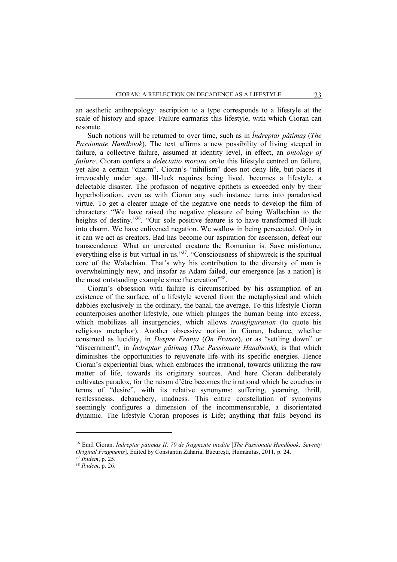an aesthetic anthropology: ascription to a type corresponds to a lifestyle at the scale of history and space. Failure earmarks this lifestyle, with which Cioran can resonate.

Such notions will be returned to over time, such as in *Îndreptar pătimaș* (*The Passionate Handbook*). The text affirms a new possibility of living steeped in failure, a collective failure, assumed at identity level, in effect, an *ontology of failure*. Cioran confers a *delectatio morosa* on/to this lifestyle centred on failure, yet also a certain "charm". Cioran's "nihilism" does not deny life, but places it irrevocably under age. Ill-luck requires being lived, becomes a lifestyle, a delectable disaster. The profusion of negative epithets is exceeded only by their hyperbolization, even as with Cioran any such instance turns into paradoxical virtue. To get a clearer image of the negative one needs to develop the film of characters: "We have raised the negative pleasure of being Wallachian to the heights of destiny."<sup>36</sup>. "Our sole positive feature is to have transformed ill-luck into charm. We have enlivened negation. We wallow in being persecuted. Only in it can we act as creators. Bad has become our aspiration for ascension, defeat our transcendence. What an uncreated creature the Romanian is. Save misfortune, everything else is but virtual in us."<sup>37</sup>. "Consciousness of shipwreck is the spiritual core of the Walachian. That's why his contribution to the diversity of man is overwhelmingly new, and insofar as Adam failed, our emergence [as a nation] is the most outstanding example since the creation"38.

Cioran's obsession with failure is circumscribed by his assumption of an existence of the surface, of a lifestyle severed from the metaphysical and which dabbles exclusively in the ordinary, the banal, the average. To this lifestyle Cioran counterpoises another lifestyle, one which plunges the human being into excess, which mobilizes all insurgencies, which allows *transfiguration* (to quote his religious metaphor). Another obsessive notion in Cioran, balance, whether construed as lucidity, in *Despre Franța* (*On France*), or as "settling down" or "discernment", in *Îndreptar pătimaș* (*The Passionate Handbook*), is that which diminishes the opportunities to rejuvenate life with its specific energies. Hence Cioran's experiential bias, which embraces the irrational, towards utilizing the raw matter of life, towards its originary sources. And here Cioran deliberately cultivates paradox, for the raison d'être becomes the irrational which he couches in terms of "desire", with its relative synonyms: suffering, yearning, thrill, restlessnesss, debauchery, madness. This entire constellation of synonyms seemingly configures a dimension of the incommensurable, a disorientated dynamic. The lifestyle Cioran proposes is Life; anything that falls beyond its

<sup>36</sup> Emil Cioran, *Îndreptar pătimaș II. 70 de fragmente inedite* [*The Passionate Handbook: Seventy Original Fragments*]. Edited by Constantin Zaharia, București, Humanitas, 2011, p. 24.

<sup>37</sup> *Ibidem*, p. 25.

<sup>38</sup> *Ibidem*, p. 26.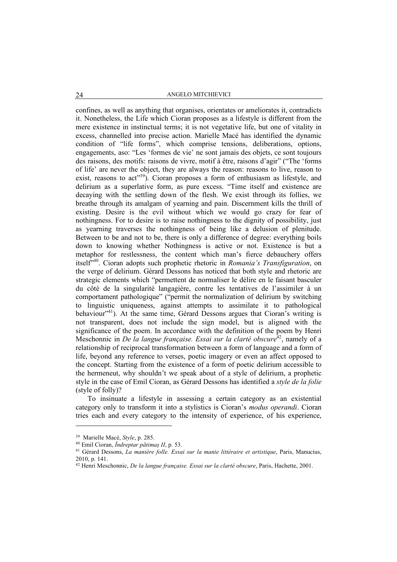### 24 ANGELO MITCHIEVICI

confines, as well as anything that organises, orientates or ameliorates it, contradicts it. Nonetheless, the Life which Cioran proposes as a lifestyle is different from the mere existence in instinctual terms; it is not vegetative life, but one of vitality in excess, channelled into precise action. Marielle Macé has identified the dynamic condition of "life forms", which comprise tensions, deliberations, options, engagements, aso: "Les 'formes de vie' ne sont jamais des objets, ce sont toujours des raisons, des motifs: raisons de vivre, motif à être, raisons d'agir" ("The 'forms of life' are never the object, they are always the reason: reasons to live, reason to exist, reasons to act<sup>339</sup>). Cioran proposes a form of enthusiasm as lifestyle, and delirium as a superlative form, as pure excess. "Time itself and existence are decaying with the settling down of the flesh. We exist through its follies, we breathe through its amalgam of yearning and pain. Discernment kills the thrill of existing. Desire is the evil without which we would go crazy for fear of nothingness. For to desire is to raise nothingness to the dignity of possibility, just as yearning traverses the nothingness of being like a delusion of plenitude. Between to be and not to be, there is only a difference of degree: everything boils down to knowing whether Nothingness is active or not. Existence is but a metaphor for restlessness, the content which man's fierce debauchery offers itself"40. Cioran adopts such prophetic rhetoric in *Romania's Transfiguration*, on the verge of delirium. Gérard Dessons has noticed that both style and rhetoric are strategic elements which "permettent de normaliser le délire en le faisant basculer du côté de la singularité langagière, contre les tentatives de l'assimiler à un comportament pathologique" ("permit the normalization of delirium by switching to linguistic uniqueness, against attempts to assimilate it to pathological behaviour<sup>"41</sup>). At the same time, Gérard Dessons argues that Cioran's writing is not transparent, does not include the sign model, but is aligned with the significance of the poem. In accordance with the definition of the poem by Henri Meschonnic in *De la langue française. Essai sur la clarté obscure*<sup>42</sup>, namely of a relationship of reciprocal transformation between a form of language and a form of life, beyond any reference to verses, poetic imagery or even an affect opposed to the concept. Starting from the existence of a form of poetic delirium accessible to the hermeneut, why shouldn't we speak about of a style of delirium, a prophetic style in the case of Emil Cioran, as Gérard Dessons has identified a *style de la folie* (style of folly)?

To insinuate a lifestyle in assessing a certain category as an existential category only to transform it into a stylistics is Cioran's *modus operandi*. Cioran tries each and every category to the intensity of experience, of his experience,

<sup>39</sup> Marielle Macé, *Style*, p. 285. 40 Emil Cioran, *Îndreptar pătimaș II*, p. 53.

<sup>41</sup> Gérard Dessons, *La manière folle. Essai sur la manie littéraire et artistique*, Paris, Manucius, 2010, p. 141.

<sup>42</sup> Henri Meschonnic, *De la langue française. Essai sur la clarté obscure*, Paris, Hachette, 2001.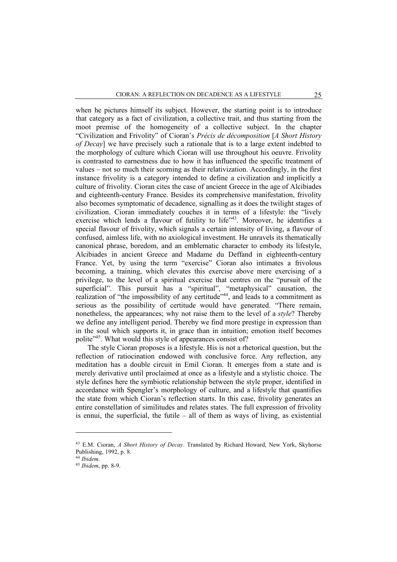when he pictures himself its subject. However, the starting point is to introduce that category as a fact of civilization, a collective trait, and thus starting from the moot premise of the homogeneity of a collective subject. In the chapter "Civilization and Frivolity" of Cioran's *Précis de décomposition* [*A Short History of Decay*] we have precisely such a rationale that is to a large extent indebted to the morphology of culture which Cioran will use throughout his oeuvre. Frivolity is contrasted to earnestness due to how it has influenced the specific treatment of values – not so much their scorning as their relativization. Accordingly, in the first instance frivolity is a category intended to define a civilization and implicitly a culture of frivolity. Cioran cites the case of ancient Greece in the age of Alcibiades and eighteenth-century France. Besides its comprehensive manifestation, frivolity also becomes symptomatic of decadence, signalling as it does the twilight stages of civilization. Cioran immediately couches it in terms of a lifestyle: the "lively exercise which lends a flavour of futility to life<sup>743</sup>. Moreover, he identifies a special flavour of frivolity, which signals a certain intensity of living, a flavour of confused, aimless life, with no axiological investment. He unravels its thematically canonical phrase, boredom, and an emblematic character to embody its lifestyle, Alcibiades in ancient Greece and Madame du Deffand in eighteenth-century France. Yet, by using the term "exercise" Cioran also intimates a frivolous becoming, a training, which elevates this exercise above mere exercising of a privilege, to the level of a spiritual exercise that centres on the "pursuit of the superficial". This pursuit has a "spiritual", "metaphysical" causation, the realization of "the impossibility of any certitude"<sup>44</sup>, and leads to a commitment as serious as the possibility of certitude would have generated. "There remain, nonetheless, the appearances; why not raise them to the level of a *style*? Thereby we define any intelligent period. Thereby we find more prestige in expression than in the soul which supports it, in grace than in intuition; emotion itself becomes polite<sup> $345$ </sup>. What would this style of appearances consist of?

The style Cioran proposes is a lifestyle. His is not a rhetorical question, but the reflection of ratiocination endowed with conclusive force. Any reflection, any meditation has a double circuit in Emil Cioran. It emerges from a state and is merely derivative until proclaimed at once as a lifestyle and a stylistic choice. The style defines here the symbiotic relationship between the style proper, identified in accordance with Spengler's morphology of culture, and a lifestyle that quantifies the state from which Cioran's reflection starts. In this case, frivolity generates an entire constellation of similitudes and relates states. The full expression of frivolity is ennui, the superficial, the futile – all of them as ways of living, as existential

<sup>43</sup> E.M. Cioran, *A Short History of Decay*. Translated by Richard Howard, New York, Skyhorse Publishing, 1992, p. 8.

<sup>44</sup> *Ibidem*.

<sup>45</sup> *Ibidem*, pp. 8-9.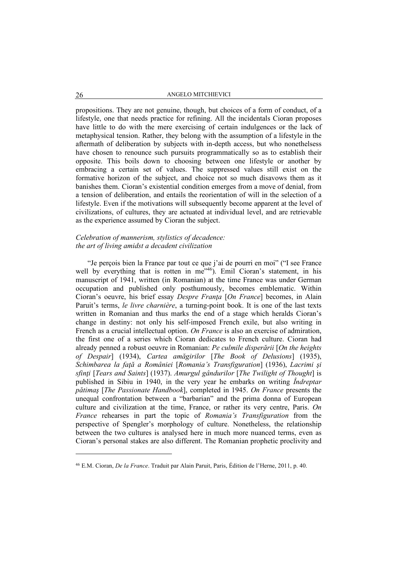propositions. They are not genuine, though, but choices of a form of conduct, of a lifestyle, one that needs practice for refining. All the incidentals Cioran proposes have little to do with the mere exercising of certain indulgences or the lack of metaphysical tension. Rather, they belong with the assumption of a lifestyle in the aftermath of deliberation by subjects with in-depth access, but who nonethelsess have chosen to renounce such pursuits programmatically so as to establish their opposite. This boils down to choosing between one lifestyle or another by embracing a certain set of values. The suppressed values still exist on the formative horizon of the subject, and choice not so much disavows them as it banishes them. Cioran's existential condition emerges from a move of denial, from a tension of deliberation, and entails the reorientation of will in the selection of a lifestyle. Even if the motivations will subsequently become apparent at the level of civilizations, of cultures, they are actuated at individual level, and are retrievable as the experience assumed by Cioran the subject.

## *Celebration of mannerism, stylistics of decadence: the art of living amidst a decadent civilization*

"Je perçois bien la France par tout ce que j'ai de pourri en moi" ("I see France well by everything that is rotten in me<sup>"46</sup>). Emil Cioran's statement, in his manuscript of 1941, written (in Romanian) at the time France was under German occupation and published only posthumously, becomes emblematic. Within Cioran's oeuvre, his brief essay *Despre Franţa* [*On France*] becomes, in Alain Paruit's terms, *le livre charnière*, a turning-point book. It is one of the last texts written in Romanian and thus marks the end of a stage which heralds Cioran's change in destiny: not only his self-imposed French exile, but also writing in French as a crucial intellectual option. *On France* is also an exercise of admiration, the first one of a series which Cioran dedicates to French culture. Cioran had already penned a robust oeuvre in Romanian: *Pe culmile disperării* [*On the heights of Despair*] (1934), *Cartea amăgirilor* [*The Book of Delusions*] (1935), *Schimbarea la faţă a României* [*Romania's Transfiguration*] (1936), *Lacrimi şi sfinţi* [*Tears and Saints*] (1937). *Amurgul gândurilor* [*The Twilight of Thought*] is published in Sibiu in 1940, in the very year he embarks on writing *Îndreptar pătimaş* [*The Passionate Handbook*], completed in 1945. *On France* presents the unequal confrontation between a "barbarian" and the prima donna of European culture and civilization at the time, France, or rather its very centre, Paris. *On France* rehearses in part the topic of *Romania's Transfiguration* from the perspective of Spengler's morphology of culture. Nonetheless, the relationship between the two cultures is analysed here in much more nuanced terms, even as Cioran's personal stakes are also different. The Romanian prophetic proclivity and

<sup>46</sup> E.M. Cioran, *De la France*. Traduit par Alain Paruit, Paris, Édition de l'Herne, 2011, p. 40.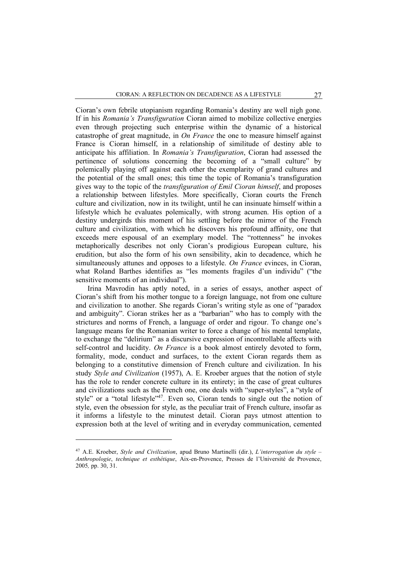Cioran's own febrile utopianism regarding Romania's destiny are well nigh gone. If in his *Romania's Transfiguration* Cioran aimed to mobilize collective energies even through projecting such enterprise within the dynamic of a historical catastrophe of great magnitude, in *On France* the one to measure himself against France is Cioran himself, in a relationship of similitude of destiny able to anticipate his affiliation. In *Romania's Transfiguration*, Cioran had assessed the pertinence of solutions concerning the becoming of a "small culture" by polemically playing off against each other the exemplarity of grand cultures and the potential of the small ones; this time the topic of Romania's transfiguration gives way to the topic of the *transfiguration of Emil Cioran himself*, and proposes a relationship between lifestyles. More specifically, Cioran courts the French culture and civilization, now in its twilight, until he can insinuate himself within a lifestyle which he evaluates polemically, with strong acumen. His option of a destiny undergirds this moment of his settling before the mirror of the French culture and civilization, with which he discovers his profound affinity, one that exceeds mere espousal of an exemplary model. The "rottenness" he invokes metaphorically describes not only Cioran's prodigious European culture, his erudition, but also the form of his own sensibility, akin to decadence, which he simultaneously attunes and opposes to a lifestyle. *On France* evinces, in Cioran, what Roland Barthes identifies as "les moments fragiles d'un individu" ("the sensitive moments of an individual").

Irina Mavrodin has aptly noted, in a series of essays, another aspect of Cioran's shift from his mother tongue to a foreign language, not from one culture and civilization to another. She regards Cioran's writing style as one of "paradox and ambiguity". Cioran strikes her as a "barbarian" who has to comply with the strictures and norms of French, a language of order and rigour. To change one's language means for the Romanian writer to force a change of his mental template, to exchange the "delirium" as a discursive expression of incontrollable affects with self-control and lucidity. *On France* is a book almost entirely devoted to form, formality, mode, conduct and surfaces, to the extent Cioran regards them as belonging to a constitutive dimension of French culture and civilization. In his study *Style and Civilization* (1957), A. E. Kroeber argues that the notion of style has the role to render concrete culture in its entirety; in the case of great cultures and civilizations such as the French one, one deals with "super-styles", a "style of style" or a "total lifestyle"<sup>47</sup>. Even so, Cioran tends to single out the notion of style, even the obsession for style, as the peculiar trait of French culture, insofar as it informs a lifestyle to the minutest detail. Cioran pays utmost attention to expression both at the level of writing and in everyday communication, cemented

<sup>47</sup> A.E. Kroeber, *Style and Civilization*, apud Bruno Martinelli (dir.), *L'interrogation du style* – *Anthropologie*, *technique et esthétique*, Aix-en-Provence, Presses de l'Université de Provence, 2005*,* pp. 30, 31.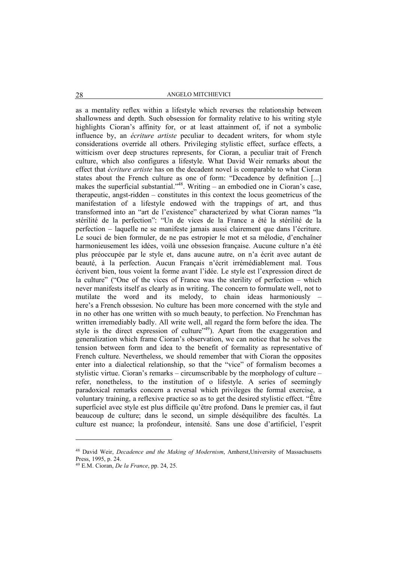## 28 ANGELO MITCHIEVICI

as a mentality reflex within a lifestyle which reverses the relationship between shallowness and depth. Such obsession for formality relative to his writing style highlights Cioran's affinity for, or at least attainment of, if not a symbolic influence by, an *écriture artiste* peculiar to decadent writers, for whom style considerations override all others. Privileging stylistic effect, surface effects, a witticism over deep structures represents, for Cioran, a peculiar trait of French culture, which also configures a lifestyle. What David Weir remarks about the effect that *écriture artiste* has on the decadent novel is comparable to what Cioran states about the French culture as one of form: "Decadence by definition [...] makes the superficial substantial."48. Writing – an embodied one in Cioran's case, therapeutic, angst-ridden – constitutes in this context the locus geometricus of the manifestation of a lifestyle endowed with the trappings of art, and thus transformed into an "art de l'existence" characterized by what Cioran names "la stérilité de la perfection": "Un de vices de la France a été la stérilité de la perfection – laquelle ne se manifeste jamais aussi clairement que dans l'écriture. Le souci de bien formuler, de ne pas estropier le mot et sa mélodie, d'enchaîner harmonieusement les idées, voilà une obssesion française. Aucune culture n'a été plus préoccupée par le style et, dans aucune autre, on n'a écrit avec autant de beauté, à la perfection. Aucun Français n'écrit irrémédiablement mal. Tous écrivent bien, tous voient la forme avant l'idée. Le style est l'expression direct de la culture" ("One of the vices of France was the sterility of perfection – which never manifests itself as clearly as in writing. The concern to formulate well, not to mutilate the word and its melody, to chain ideas harmoniously – here's a French obssesion. No culture has been more concerned with the style and in no other has one written with so much beauty, to perfection. No Frenchman has written irremediably badly. All write well, all regard the form before the idea. The style is the direct expression of culture<sup> $249$ </sup>). Apart from the exaggeration and generalization which frame Cioran's observation, we can notice that he solves the tension between form and idea to the benefit of formality as representative of French culture. Nevertheless, we should remember that with Cioran the opposites enter into a dialectical relationship, so that the "vice" of formalism becomes a stylistic virtue. Cioran's remarks – circumscribable by the morphology of culture – refer, nonetheless, to the institution of o lifestyle. A series of seemingly paradoxical remarks concern a reversal which privileges the formal exercise, a voluntary training, a reflexive practice so as to get the desired stylistic effect. "Être superficiel avec style est plus difficile qu'être profond. Dans le premier cas, il faut beaucoup de culture; dans le second, un simple déséquilibre des facultés. La culture est nuance; la profondeur, intensité. Sans une dose d'artificiel, l'esprit

<sup>48</sup> David Weir, *Decadence and the Making of Modernism*, Amherst,University of Massachusetts Press, 1995, p. 24.

<sup>49</sup> E.M. Cioran, *De la France*, pp. 24, 25.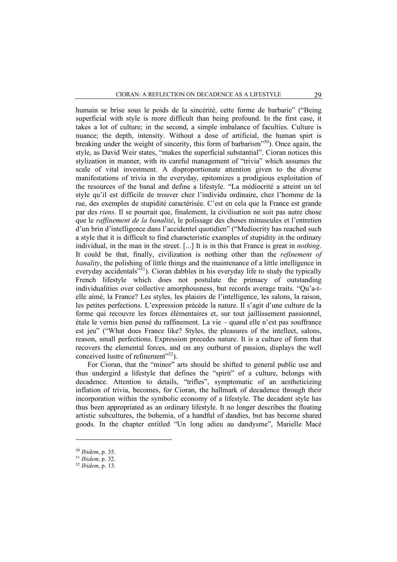humain se brise sous le poids de la sincérité, cette forme de barbarie" ("Being superficial with style is more difficult than being profound. In the first case, it takes a lot of culture; in the second, a simple imbalance of faculties. Culture is nuance; the depth, intensity. Without a dose of artificial, the human spirt is breaking under the weight of sincerity, this form of barbarism"50). Once again, the style, as David Weir states, "makes the superficial substantial". Cioran notices this stylization in manner, with its careful management of "trivia" which assumes the scale of vital investment. A disproportionate attention given to the diverse manifestations of trivia in the everyday, epitomizes a prodigious exploitation of the resources of the banal and define a lifestyle. "La médiocrité a atteint un tel style qu'il est difficile de trouver chez l'individu ordinaire, chez l'homme de la rue, des exemples de stupidité caractérisée. C'est en cela que la France est grande par des *riens*. Il se pourrait que, finalement, la civilisation ne soit pas autre chose que le *raffinement de la banalité*, le polissage des choses minuscules et l'entretien d'un brin d'intelligence dans l'accidentel quotidien" ("Mediocrity has reached such a style that it is difficult to find characteristic examples of stupidity in the ordinary individual, in the man in the street. [...] It is in this that France is great in *nothing*. It could be that, finally, civilization is nothing other than the *refinement of banality*, the polishing of little things and the maintenance of a little intelligence in everyday accidentals<sup>"51</sup>). Cioran dabbles in his everyday life to study the typically French lifestyle which does not postulate the primacy of outstanding individualities over collective amorphousness, but records average traits. "Qu'a-telle aimé, la France? Les styles, les plaisirs de l'intelligence, les salons, la raison, les petites perfections. L'expression précède la nature. Il s'agit d'une culture de la forme qui recouvre les forces élémentaires et, sur tout jaillissement passionnel, étale le vernis bien pensé du raffinement. La vie – quand elle n'est pas souffrance est jeu" ("What does France like? Styles, the pleasures of the intellect, salons, reason, small perfections. Expression precedes nature. It is a culture of form that recovers the elemental forces, and on any outburst of passion, displays the well conceived lustre of refinement"<sup>52</sup>).

For Cioran, that the "minor" arts should be shifted to general public use and thus undergird a lifestyle that defines the "spirit" of a culture, belongs with decadence. Attention to details, "trifles", symptomatic of an aestheticizing inflation of trivia, becomes, for Cioran, the hallmark of decadence through their incorporation within the symbolic economy of a lifestyle. The decadent style has thus been appropriated as an ordinary lifestyle. It no longer describes the floating artistic subcultures, the bohemia, of a handful of dandies, but has become shared goods. In the chapter entitled "Un long adieu au dandysme", Marielle Macé

<sup>50</sup> *Ibidem*, p. 35.

<sup>51</sup> *Ibidem*, p. 32.

<sup>52</sup> *Ibidem*, p. 13.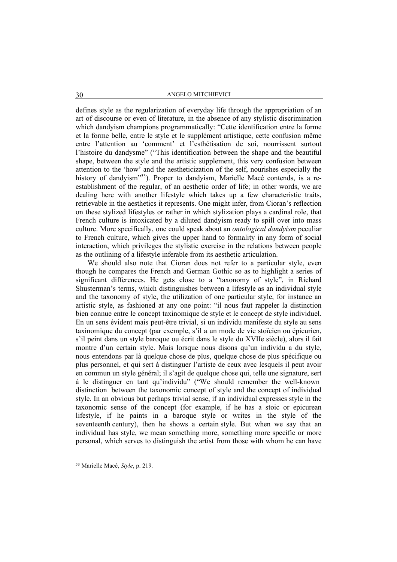defines style as the regularization of everyday life through the appropriation of an art of discourse or even of literature, in the absence of any stylistic discrimination which dandyism champions programmatically: "Cette identification entre la forme et la forme belle, entre le style et le supplément artistique, cette confusion même entre l'attention au 'comment' et l'esthétisation de soi, nourrissent surtout l'histoire du dandysme" ("This identification between the shape and the beautiful shape, between the style and the artistic supplement, this very confusion between attention to the 'how' and the aestheticization of the self, nourishes especially the history of dandyism"<sup>53</sup>). Proper to dandyism, Marielle Macé contends, is a reestablishment of the regular, of an aesthetic order of life; in other words, we are dealing here with another lifestyle which takes up a few characteristic traits, retrievable in the aesthetics it represents. One might infer, from Cioran's reflection on these stylized lifestyles or rather in which stylization plays a cardinal role, that French culture is intoxicated by a diluted dandyism ready to spill over into mass culture. More specifically, one could speak about an *ontological dandyism* peculiar to French culture, which gives the upper hand to formality in any form of social interaction, which privileges the stylistic exercise in the relations between people as the outlining of a lifestyle inferable from its aesthetic articulation.

We should also note that Cioran does not refer to a particular style, even though he compares the French and German Gothic so as to highlight a series of significant differences. He gets close to a "taxonomy of style", in Richard Shusterman's terms, which distinguishes between a lifestyle as an individual style and the taxonomy of style, the utilization of one particular style, for instance an artistic style, as fashioned at any one point: "il nous faut rappeler la distinction bien connue entre le concept taxinomique de style et le concept de style individuel. En un sens évident mais peut-être trivial, si un individu manifeste du style au sens taxinomique du concept (par exemple, s'il a un mode de vie stoïcien ou épicurien, s'il peint dans un style baroque ou écrit dans le style du XVIIe siècle), alors il fait montre d'un certain style. Mais lorsque nous disons qu'un individu a du style, nous entendons par là quelque chose de plus, quelque chose de plus spécifique ou plus personnel, et qui sert à distinguer l'artiste de ceux avec lesquels il peut avoir en commun un style général; il s'agit de quelque chose qui, telle une signature, sert à le distinguer en tant qu'individu" ("We should remember the well-known distinction between the taxonomic concept of style and the concept of individual style. In an obvious but perhaps trivial sense, if an individual expresses style in the taxonomic sense of the concept (for example, if he has a stoic or epicurean lifestyle, if he paints in a baroque style or writes in the style of the seventeenth century), then he shows a certain style. But when we say that an individual has style, we mean something more, something more specific or more personal, which serves to distinguish the artist from those with whom he can have

<sup>53</sup> Marielle Macé, *Style*, p. 219.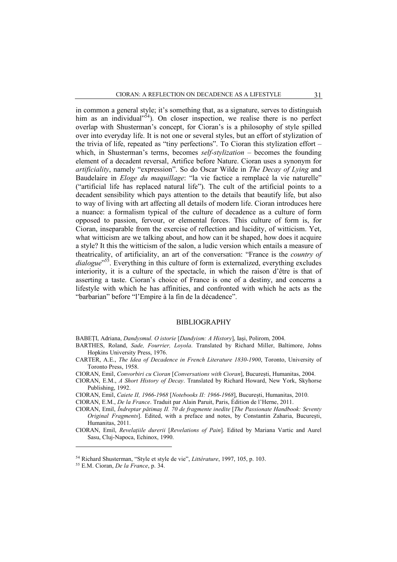in common a general style; it's something that, as a signature, serves to distinguish him as an individual"<sup>54</sup>). On closer inspection, we realise there is no perfect overlap with Shusterman's concept, for Cioran's is a philosophy of style spilled over into everyday life. It is not one or several styles, but an effort of stylization of the trivia of life, repeated as "tiny perfections". To Cioran this stylization effort – which, in Shusterman's terms, becomes *self-stylization* – becomes the founding element of a decadent reversal, Artifice before Nature. Cioran uses a synonym for *artificiality*, namely "expression". So do Oscar Wilde in *The Decay of Lying* and Baudelaire in *Eloge du maquillage*: "la vie factice a remplacé la vie naturelle" ("artificial life has replaced natural life"). The cult of the artificial points to a decadent sensibility which pays attention to the details that beautify life, but also to way of living with art affecting all details of modern life. Cioran introduces here a nuance: a formalism typical of the culture of decadence as a culture of form opposed to passion, fervour, or elemental forces. This culture of form is, for Cioran, inseparable from the exercise of reflection and lucidity, of witticism. Yet, what witticism are we talking about, and how can it be shaped, how does it acquire a style? It this the witticism of the salon, a ludic version which entails a measure of theatricality, of artificiality, an art of the conversation: "France is the *country of dialogue*"<sup>55</sup>. Everything in this culture of form is externalized, everything excludes interiority, it is a culture of the spectacle, in which the raison d'être is that of asserting a taste. Cioran's choice of France is one of a destiny, and concerns a lifestyle with which he has affinities, and confronted with which he acts as the "barbarian" before "l'Empire à la fin de la décadence".

### BIBLIOGRAPHY

BABEȚI, Adriana, *Dandysmul. O istorie* [*Dandyism: A History*], Iași, Polirom, 2004.

- BARTHES, Roland, *Sade, Fourrier, Loyola*. Translated by Richard Miller, Baltimore, Johns Hopkins University Press, 1976.
- CARTER, A.E., *The Idea of Decadence in French Literature 1830-1900*, Toronto, University of Toronto Press, 1958.
- CIORAN, Emil, *Convorbiri cu Cioran* [*Conversations with Cioran*], București, Humanitas, 2004.
- CIORAN, E.M., *A Short History of Decay*. Translated by Richard Howard, New York, Skyhorse Publishing, 1992.
- CIORAN, Emil, *Caiete II, 1966-1968* [*Notebooks II: 1966-1968*], București, Humanitas, 2010.
- CIORAN, E.M., *De la France*. Traduit par Alain Paruit, Paris, Édition de l'Herne, 2011.
- CIORAN, Emil, *Îndreptar pătimaș II. 70 de fragmente inedite* [*The Passionate Handbook: Seventy Original Fragments*]. Edited, with a preface and notes, by Constantin Zaharia, București, Humanitas, 2011.
- CIORAN, Emil, *Revelațiile durerii* [*Revelations of Pain*]. Edited by Mariana Vartic and Aurel Sasu, Cluj-Napoca, Echinox, 1990.

<sup>54</sup> Richard Shusterman, "Style et style de vie", *Littérature*, 1997, 105, p. 103.

<sup>55</sup> E.M. Cioran, *De la France*, p. 34.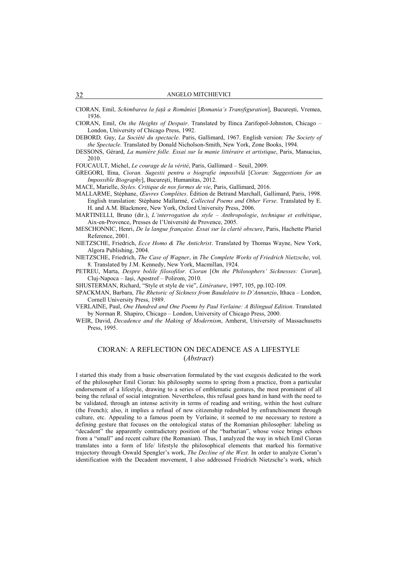CIORAN, Emil, *Schimbarea la față a României* [*Romania's Transfiguration*], București, Vremea, 1936.

CIORAN, Emil, *On the Heights of Despair*. Translated by Ilinca Zarifopol-Johnston, Chicago – London, University of Chicago Press, 1992.

DEBORD*,* Guy, *La Société du spectacle*. Paris, Gallimard, 1967. English version: *The Society of the Spectacle*. Translated by Donald Nicholson-Smith, New York, Zone Books, 1994.

- DESSONS, Gérard, *La manière folle. Essai sur la manie littéraire et artistique*, Paris, Manucius, 2010.
- FOUCAULT, Michel, *Le courage de la vérité*, Paris, Gallimard Seuil, 2009.
- GREGORI, Ilina, *Cioran. Sugestii pentru o biografie imposibilă* [*Cioran: Suggestions for an Impossible Biography*], Bucureşti, Humanitas, 2012.

MACE, Marielle, *Styles. Critique de nos formes de vie*, Paris, Gallimard, 2016.

- MALLARME, Stéphane, *Œuvres Complètes*. Édition de Betrand Marchall, Gallimard, Paris, 1998. English translation: Stéphane Mallarmé, *Collected Poems and Other Verse*. Translated by E. H. and A.M. Blackmore, New York, Oxford University Press, 2006.
- MARTINELLI, Bruno (dir.), *L'interrogation du style Anthropologie*, *technique et esthétique*, Aix-en-Provence, Presses de l'Université de Provence, 2005.
- MESCHONNIC, Henri, *De la langue française. Essai sur la clarté obscure*, Paris, Hachette Pluriel Reference, 2001.
- NIETZSCHE, Friedrich, *Ecce Homo & The Antichrist*. Translated by Thomas Wayne, New York, Algora Publishing, 2004.

NIETZSCHE, Friedrich, *The Case of Wagner*, in *The Complete Works of Friedrich Nietzsche*, vol. 8. Translated by J.M. Kennedy, New York, Macmillan, 1924.

PETREU, Marta, *Despre bolile filosofilor. Cioran* [*On the Philosophers' Sicknesses: Cioran*], Cluj-Napoca – Iași, Apostrof – Polirom, 2010.

SHUSTERMAN, Richard, "Style et style de vie", *Littérature*, 1997, 105, pp.102-109.

- SPACKMAN, Barbara, *The Rhetoric of Sickness from Baudelaire to D'Annunzio*, Ithaca London, Cornell University Press, 1989.
- VERLAINE, Paul, *One Hundred and One Poems by Paul Verlaine: A Bilingual Edition*. Translated by Norman R. Shapiro, Chicago – London, University of Chicago Press, 2000.
- WEIR, David, *Decadence and the Making of Modernism*, Amherst, University of Massachusetts Press, 1995.

## CIORAN: A REFLECTION ON DECADENCE AS A LIFESTYLE (*Abstract*)

I started this study from a basic observation formulated by the vast exegesis dedicated to the work of the philosopher Emil Cioran: his philosophy seems to spring from a practice, from a particular endorsement of a lifestyle, drawing to a series of emblematic gestures, the most prominent of all being the refusal of social integration. Nevertheless, this refusal goes hand in hand with the need to be validated, through an intense activity in terms of reading and writing, within the host culture (the French); also, it implies a refusal of new citizenship redoubled by enfranchisement through culture, etc. Appealing to a famous poem by Verlaine, it seemed to me necessary to restore a defining gesture that focuses on the ontological status of the Romanian philosopher: labeling as "decadent" the apparently contradictory position of the "barbarian", whose voice brings echoes from a "small" and recent culture (the Romanian). Thus, I analyzed the way in which Emil Cioran translates into a form of life/ lifestyle the philosophical elements that marked his formative trajectory through Oswald Spengler's work, *The Decline of the West.* In order to analyze Cioran's identification with the Decadent movement, I also addressed Friedrich Nietzsche's work, which